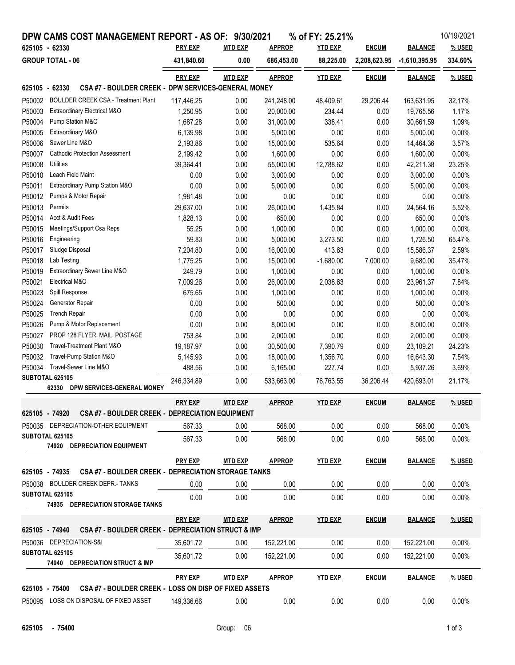|                                           | DPW CAMS COST MANAGEMENT REPORT - AS OF: 9/30/2021                       | <b>PRY EXP</b> | <b>MTD EXP</b> | <b>APPROP</b> | % of FY: 25.21% |              |                 | 10/19/2021 |
|-------------------------------------------|--------------------------------------------------------------------------|----------------|----------------|---------------|-----------------|--------------|-----------------|------------|
| 625105 - 62330<br><b>GROUP TOTAL - 06</b> |                                                                          |                |                |               | <b>YTD EXP</b>  | <b>ENCUM</b> | <b>BALANCE</b>  | % USED     |
|                                           |                                                                          | 431,840.60     | 0.00           | 686,453.00    | 88,225.00       | 2,208,623.95 | $-1,610,395.95$ | 334.60%    |
|                                           |                                                                          | <b>PRY EXP</b> | <b>MTD EXP</b> | <b>APPROP</b> | <b>YTD EXP</b>  | <b>ENCUM</b> | <b>BALANCE</b>  | % USED     |
| 625105 - 62330                            | CSA #7 - BOULDER CREEK - DPW SERVICES-GENERAL MONEY                      |                |                |               |                 |              |                 |            |
| P50002                                    | <b>BOULDER CREEK CSA - Treatment Plant</b>                               | 117,446.25     | 0.00           | 241,248.00    | 48,409.61       | 29,206.44    | 163,631.95      | 32.17%     |
| P50003                                    | Extraordinary Electrical M&O                                             | 1,250.95       | 0.00           | 20,000.00     | 234.44          | 0.00         | 19,765.56       | 1.17%      |
| P50004                                    | Pump Station M&O                                                         | 1,687.28       | 0.00           | 31,000.00     | 338.41          | 0.00         | 30,661.59       | 1.09%      |
| P50005                                    | Extraordinary M&O                                                        | 6,139.98       | 0.00           | 5,000.00      | 0.00            | 0.00         | 5,000.00        | 0.00%      |
| P50006                                    | Sewer Line M&O                                                           | 2,193.86       | 0.00           | 15,000.00     | 535.64          | 0.00         | 14,464.36       | 3.57%      |
| P50007                                    | <b>Cathodic Protection Assessment</b>                                    | 2,199.42       | 0.00           | 1,600.00      | 0.00            | 0.00         | 1,600.00        | 0.00%      |
| P50008                                    | Utilities                                                                | 39,364.41      | 0.00           | 55,000.00     | 12,788.62       | 0.00         | 42,211.38       | 23.25%     |
| P50010                                    | Leach Field Maint                                                        | 0.00           | 0.00           | 3,000.00      | 0.00            | 0.00         | 3,000.00        | 0.00%      |
| P50011                                    | Extraordinary Pump Station M&O                                           | 0.00           | 0.00           | 5,000.00      | 0.00            | 0.00         | 5,000.00        | 0.00%      |
| P50012                                    | Pumps & Motor Repair                                                     | 1,981.48       | 0.00           | 0.00          | 0.00            | 0.00         | 0.00            | 0.00%      |
| P50013                                    | Permits                                                                  | 29,637.00      | 0.00           | 26,000.00     | 1,435.84        | 0.00         | 24,564.16       | 5.52%      |
| P50014                                    | Acct & Audit Fees                                                        | 1,828.13       | 0.00           | 650.00        | 0.00            | 0.00         | 650.00          | 0.00%      |
| P50015                                    | Meetings/Support Csa Reps                                                | 55.25          | 0.00           | 1,000.00      | 0.00            | 0.00         | 1,000.00        | 0.00%      |
| P50016                                    | Engineering                                                              | 59.83          | 0.00           | 5,000.00      | 3,273.50        | 0.00         | 1,726.50        | 65.47%     |
| P50017                                    | Sludge Disposal                                                          | 7,204.80       | 0.00           | 16,000.00     | 413.63          | 0.00         | 15,586.37       | 2.59%      |
| P50018                                    | Lab Testing                                                              | 1,775.25       | 0.00           | 15,000.00     | $-1,680.00$     | 7,000.00     | 9,680.00        | 35.47%     |
| P50019                                    | Extraordinary Sewer Line M&O                                             | 249.79         | 0.00           | 1,000.00      | 0.00            | 0.00         | 1,000.00        | 0.00%      |
| P50021                                    | Electrical M&O                                                           | 7,009.26       | 0.00           | 26,000.00     | 2,038.63        | 0.00         | 23,961.37       | 7.84%      |
| P50023                                    | Spill Response                                                           | 675.65         | 0.00           | 1,000.00      | 0.00            | 0.00         | 1,000.00        | 0.00%      |
| P50024                                    | Generator Repair                                                         | 0.00           | 0.00           | 500.00        | 0.00            | 0.00         | 500.00          | 0.00%      |
| P50025                                    | <b>Trench Repair</b>                                                     | 0.00           | 0.00           | 0.00          | 0.00            | 0.00         | 0.00            | 0.00%      |
| P50026                                    | Pump & Motor Replacement                                                 | 0.00           | 0.00           | 8,000.00      | 0.00            | 0.00         | 8,000.00        | 0.00%      |
| P50027                                    | PROP 128 FLYER, MAIL, POSTAGE                                            | 753.84         | 0.00           | 2,000.00      | 0.00            | 0.00         | 2,000.00        | 0.00%      |
| P50030                                    | Travel-Treatment Plant M&O                                               | 19,187.97      | 0.00           | 30,500.00     | 7,390.79        | 0.00         | 23,109.21       | 24.23%     |
| P50032                                    | Travel-Pump Station M&O                                                  | 5,145.93       | 0.00           | 18,000.00     | 1,356.70        | 0.00         | 16,643.30       | 7.54%      |
| P50034                                    | Travel-Sewer Line M&O                                                    | 488.56         | 0.00           | 6,165.00      | 227.74          | 0.00         | 5,937.26        | 3.69%      |
|                                           | SUBTOTAL 625105                                                          | 246,334.89     | 0.00           | 533,663.00    | 76.763.55       | 36,206.44    | 420,693.01      | 21.17%     |
|                                           | 62330<br>DPW SERVICES-GENERAL MONEY                                      |                |                |               |                 |              |                 |            |
|                                           |                                                                          | <b>PRY EXP</b> | <b>MTD EXP</b> | <b>APPROP</b> | <b>YTD EXP</b>  | <b>ENCUM</b> | <b>BALANCE</b>  | % USED     |
|                                           | 625105 - 74920<br><b>CSA #7 - BOULDER CREEK - DEPRECIATION EQUIPMENT</b> |                |                |               |                 |              |                 |            |
|                                           | P50035 DEPRECIATION-OTHER EQUIPMENT                                      | 567.33         | 0.00           | 568.00        | 0.00            | 0.00         | 568.00          | $0.00\%$   |
|                                           | SUBTOTAL 625105<br>74920 DEPRECIATION EQUIPMENT                          | 567.33         | 0.00           | 568.00        | 0.00            | 0.00         | 568.00          | 0.00%      |
|                                           |                                                                          | <b>PRY EXP</b> | <b>MTD EXP</b> | <b>APPROP</b> | <b>YTD EXP</b>  | <b>ENCUM</b> | <b>BALANCE</b>  | % USED     |
| 625105 - 74935                            | <b>CSA #7 - BOULDER CREEK - DEPRECIATION STORAGE TANKS</b>               |                |                |               |                 |              |                 |            |
|                                           | P50038 BOULDER CREEK DEPR.- TANKS                                        | 0.00           | 0.00           | 0.00          | 0.00            | 0.00         | 0.00            | $0.00\%$   |
|                                           | SUBTOTAL 625105                                                          |                |                |               |                 |              |                 |            |
|                                           | 74935 DEPRECIATION STORAGE TANKS                                         | 0.00           | 0.00           | 0.00          | 0.00            | 0.00         | 0.00            | 0.00%      |
|                                           |                                                                          | <b>PRY EXP</b> | <b>MTD EXP</b> | <b>APPROP</b> | <b>YTD EXP</b>  | <b>ENCUM</b> | <b>BALANCE</b>  | % USED     |
| 625105 - 74940                            | CSA #7 - BOULDER CREEK - DEPRECIATION STRUCT & IMP                       |                |                |               |                 |              |                 |            |
|                                           | P50036 DEPRECIATION-S&I                                                  | 35,601.72      | 0.00           | 152,221.00    | 0.00            | 0.00         | 152,221.00      | 0.00%      |
|                                           | <b>SUBTOTAL 625105</b>                                                   | 35,601.72      | 0.00           | 152,221.00    | 0.00            | 0.00         | 152,221.00      | $0.00\%$   |
|                                           | 74940 DEPRECIATION STRUCT & IMP                                          |                |                |               |                 |              |                 |            |
|                                           |                                                                          | <b>PRY EXP</b> | <b>MTD EXP</b> | <b>APPROP</b> | <b>YTD EXP</b>  | <b>ENCUM</b> | <b>BALANCE</b>  | % USED     |
| 625105 - 75400                            | CSA #7 - BOULDER CREEK - LOSS ON DISP OF FIXED ASSETS                    |                |                |               |                 |              |                 |            |
|                                           | P50095 LOSS ON DISPOSAL OF FIXED ASSET                                   | 149,336.66     | 0.00           | 0.00          | 0.00            | 0.00         | 0.00            | 0.00%      |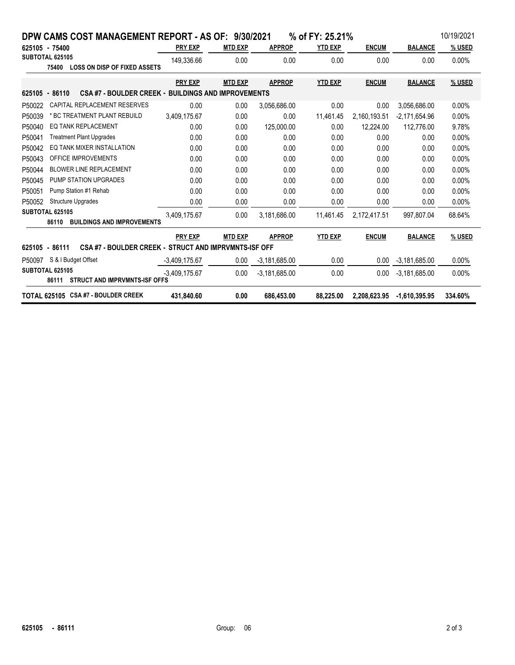|        | DPW CAMS COST MANAGEMENT REPORT - AS OF: 9/30/2021                           |                 |                |                 | % of FY: 25.21% |              |                 | 10/19/2021 |
|--------|------------------------------------------------------------------------------|-----------------|----------------|-----------------|-----------------|--------------|-----------------|------------|
|        | 625105 - 75400                                                               | <b>PRY EXP</b>  | <b>MTD EXP</b> | <b>APPROP</b>   | <b>YTD EXP</b>  | <b>ENCUM</b> | <b>BALANCE</b>  | % USED     |
|        | SUBTOTAL 625105<br><b>LOSS ON DISP OF FIXED ASSETS</b><br>75400              | 149.336.66      | 0.00           | 0.00            | 0.00            | 0.00         | 0.00            | 0.00%      |
|        |                                                                              | <b>PRY EXP</b>  | <b>MTD EXP</b> | <b>APPROP</b>   | <b>YTD EXP</b>  | <b>ENCUM</b> | <b>BALANCE</b>  | % USED     |
|        | <b>CSA #7 - BOULDER CREEK - BUILDINGS AND IMPROVEMENTS</b><br>625105 - 86110 |                 |                |                 |                 |              |                 |            |
| P50022 | CAPITAL REPLACEMENT RESERVES                                                 | 0.00            | 0.00           | 3,056,686.00    | 0.00            | 0.00         | 3.056.686.00    | 0.00%      |
| P50039 | * BC TREATMENT PLANT REBUILD                                                 | 3,409,175.67    | 0.00           | 0.00            | 11,461.45       | 2,160,193.51 | $-2,171,654.96$ | 0.00%      |
| P50040 | <b>EQ TANK REPLACEMENT</b>                                                   | 0.00            | 0.00           | 125,000.00      | 0.00            | 12,224.00    | 112,776.00      | 9.78%      |
| P50041 | <b>Treatment Plant Upgrades</b>                                              | 0.00            | 0.00           | 0.00            | 0.00            | 0.00         | 0.00            | 0.00%      |
| P50042 | EO TANK MIXER INSTALLATION                                                   | 0.00            | 0.00           | 0.00            | 0.00            | 0.00         | 0.00            | 0.00%      |
| P50043 | OFFICE IMPROVEMENTS                                                          | 0.00            | 0.00           | 0.00            | 0.00            | 0.00         | 0.00            | 0.00%      |
| P50044 | <b>BLOWER LINE REPLACEMENT</b>                                               | 0.00            | 0.00           | 0.00            | 0.00            | 0.00         | 0.00            | 0.00%      |
| P50045 | PUMP STATION UPGRADES                                                        | 0.00            | 0.00           | 0.00            | 0.00            | 0.00         | 0.00            | 0.00%      |
| P50051 | Pump Station #1 Rehab                                                        | 0.00            | 0.00           | 0.00            | 0.00            | 0.00         | 0.00            | 0.00%      |
| P50052 | <b>Structure Upgrades</b>                                                    | 0.00            | 0.00           | 0.00            | 0.00            | 0.00         | 0.00            | 0.00%      |
|        | SUBTOTAL 625105<br><b>BUILDINGS AND IMPROVEMENTS</b><br>86110                | 3.409,175.67    | 0.00           | 3,181,686.00    | 11,461.45       | 2,172,417.51 | 997.807.04      | 68.64%     |
|        |                                                                              | <b>PRY EXP</b>  | <b>MTD EXP</b> | <b>APPROP</b>   | <b>YTD EXP</b>  | <b>ENCUM</b> | <b>BALANCE</b>  | % USED     |
|        | CSA #7 - BOULDER CREEK - STRUCT AND IMPRVMNTS-ISF OFF<br>625105 - 86111      |                 |                |                 |                 |              |                 |            |
| P50097 | S & I Budget Offset                                                          | $-3,409,175.67$ | 0.00           | $-3,181,685.00$ | 0.00            | 0.00         | $-3,181,685.00$ | 0.00%      |
|        | SUBTOTAL 625105<br><b>STRUCT AND IMPRVMNTS ISF OFFS</b><br>86111             | $-3,409,175.67$ | 0.00           | $-3,181,685.00$ | 0.00            | 0.00         | $-3,181,685.00$ | 0.00%      |
|        | TOTAL 625105 CSA #7 - BOULDER CREEK                                          | 431.840.60      | 0.00           | 686.453.00      | 88.225.00       | 2.208.623.95 | $-1,610,395.95$ | 334.60%    |